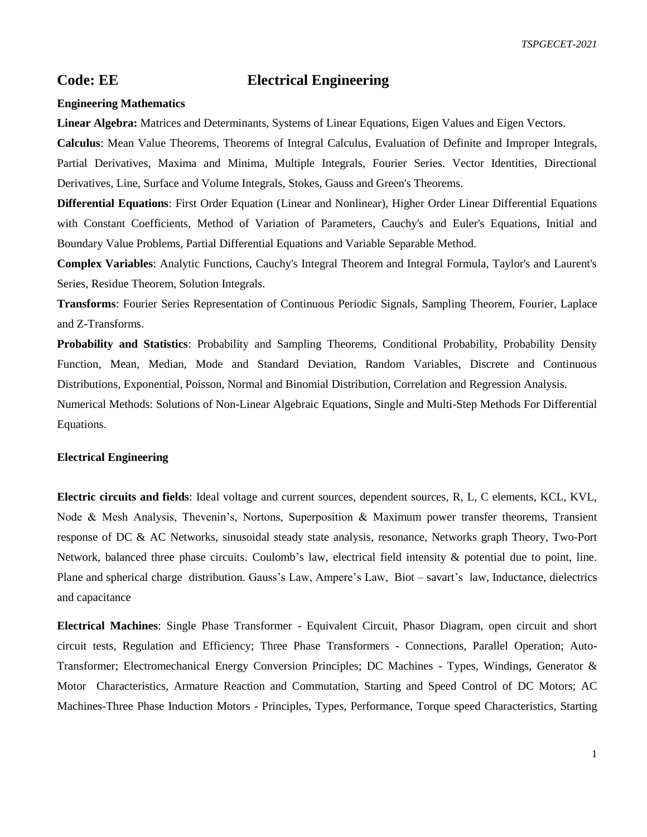## **Code: EE Electrical Engineering**

## **Engineering Mathematics**

**Linear Algebra:** Matrices and Determinants, Systems of Linear Equations, Eigen Values and Eigen Vectors.

**Calculus**: Mean Value Theorems, Theorems of Integral Calculus, Evaluation of Definite and Improper Integrals, Partial Derivatives, Maxima and Minima, Multiple Integrals, Fourier Series. Vector Identities, Directional Derivatives, Line, Surface and Volume Integrals, Stokes, Gauss and Green's Theorems.

**Differential Equations**: First Order Equation (Linear and Nonlinear), Higher Order Linear Differential Equations with Constant Coefficients, Method of Variation of Parameters, Cauchy's and Euler's Equations, Initial and Boundary Value Problems, Partial Differential Equations and Variable Separable Method.

**Complex Variables**: Analytic Functions, Cauchy's Integral Theorem and Integral Formula, Taylor's and Laurent's Series, Residue Theorem, Solution Integrals.

**Transforms**: Fourier Series Representation of Continuous Periodic Signals, Sampling Theorem, Fourier, Laplace and Z-Transforms.

**Probability and Statistics**: Probability and Sampling Theorems, Conditional Probability, Probability Density Function, Mean, Median, Mode and Standard Deviation, Random Variables, Discrete and Continuous Distributions, Exponential, Poisson, Normal and Binomial Distribution, Correlation and Regression Analysis.

Numerical Methods: Solutions of Non-Linear Algebraic Equations, Single and Multi-Step Methods For Differential Equations.

## **Electrical Engineering**

**Electric circuits and fields**: Ideal voltage and current sources, dependent sources, R, L, C elements, KCL, KVL, Node & Mesh Analysis, Thevenin's, Nortons, Superposition & Maximum power transfer theorems, Transient response of DC & AC Networks, sinusoidal steady state analysis, resonance, Networks graph Theory, Two-Port Network, balanced three phase circuits. Coulomb's law, electrical field intensity & potential due to point, line. Plane and spherical charge distribution. Gauss's Law, Ampere's Law, Biot – savart's law, Inductance, dielectrics and capacitance

**Electrical Machines**: Single Phase Transformer - Equivalent Circuit, Phasor Diagram, open circuit and short circuit tests, Regulation and Efficiency; Three Phase Transformers - Connections, Parallel Operation; Auto-Transformer; Electromechanical Energy Conversion Principles; DC Machines - Types, Windings, Generator & Motor Characteristics, Armature Reaction and Commutation, Starting and Speed Control of DC Motors; AC Machines-Three Phase Induction Motors - Principles, Types, Performance, Torque speed Characteristics, Starting